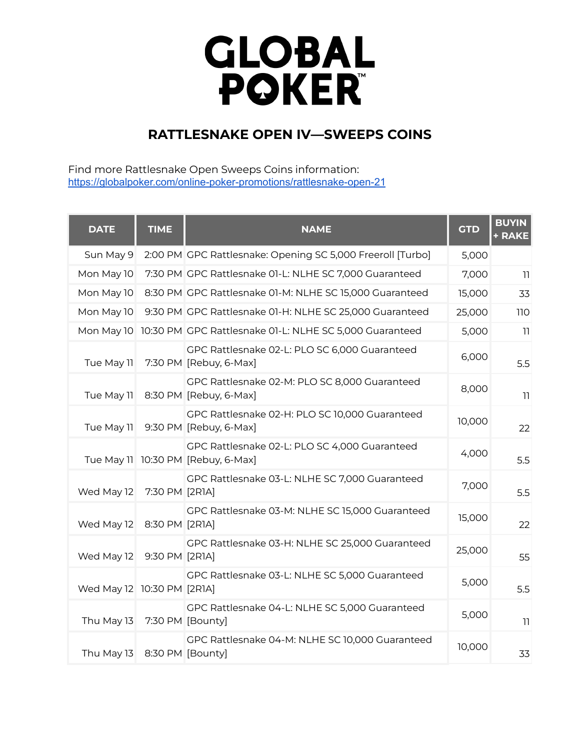## **GLOBAL<br>POKER**

## **RATTLESNAKE OPEN IV—SWEEPS COINS**

Find more Rattlesnake Open Sweeps Coins information: [https://globalpoker.com/online-poker-promotions/rattlesnake-open-21](https://globalpoker.com/promotions/rattlesnake-open-21)

| <b>DATE</b>                | <b>TIME</b>      | <b>NAME</b>                                                                         | <b>GTD</b> | <b>BUYIN</b><br>+ RAKE |
|----------------------------|------------------|-------------------------------------------------------------------------------------|------------|------------------------|
| Sun May 9                  |                  | 2:00 PM GPC Rattlesnake: Opening SC 5,000 Freeroll [Turbo]                          | 5,000      |                        |
| Mon May 10                 |                  | 7:30 PM GPC Rattlesnake 01-L: NLHE SC 7,000 Guaranteed                              | 7,000      | 11                     |
| Mon May 10                 |                  | 8:30 PM GPC Rattlesnake 01-M: NLHE SC 15,000 Guaranteed                             | 15,000     | 33                     |
| Mon May 10                 |                  | 9:30 PM GPC Rattlesnake 01-H: NLHE SC 25,000 Guaranteed                             | 25,000     | 110                    |
|                            |                  | Mon May 10 10:30 PM GPC Rattlesnake 01-L: NLHE SC 5,000 Guaranteed                  | 5,000      | 11                     |
| Tue May 11                 |                  | GPC Rattlesnake 02-L: PLO SC 6,000 Guaranteed<br>7:30 PM [Rebuy, 6-Max]             | 6,000      | 5.5                    |
| Tue May 11                 |                  | GPC Rattlesnake 02-M: PLO SC 8,000 Guaranteed<br>8:30 PM [Rebuy, 6-Max]             | 8,000      | 11                     |
| Tue May 11                 |                  | GPC Rattlesnake 02-H: PLO SC 10,000 Guaranteed<br>9:30 PM [Rebuy, 6-Max]            | 10,000     | 22                     |
|                            |                  | GPC Rattlesnake 02-L: PLO SC 4,000 Guaranteed<br>Tue May 11 10:30 PM [Rebuy, 6-Max] | 4,000      | 5.5                    |
| Wed May 12                 | 7:30 PM [2R1A]   | GPC Rattlesnake 03-L: NLHE SC 7,000 Guaranteed                                      | 7,000      | 5.5                    |
| Wed May 12                 | 8:30 PM [2R1A]   | GPC Rattlesnake 03-M: NLHE SC 15,000 Guaranteed                                     | 15,000     | 22                     |
| Wed May 12                 | 9:30 PM [2R1A]   | GPC Rattlesnake 03-H: NLHE SC 25,000 Guaranteed                                     | 25,000     | 55                     |
| Wed May 12 10:30 PM [2R1A] |                  | GPC Rattlesnake 03-L: NLHE SC 5,000 Guaranteed                                      | 5,000      | 5.5                    |
| Thu May 13                 |                  | GPC Rattlesnake 04-L: NLHE SC 5,000 Guaranteed<br>7:30 PM [Bounty]                  | 5,000      | 11                     |
| Thu May 13                 | 8:30 PM [Bounty] | GPC Rattlesnake 04-M: NLHE SC 10,000 Guaranteed                                     | 10,000     | 33                     |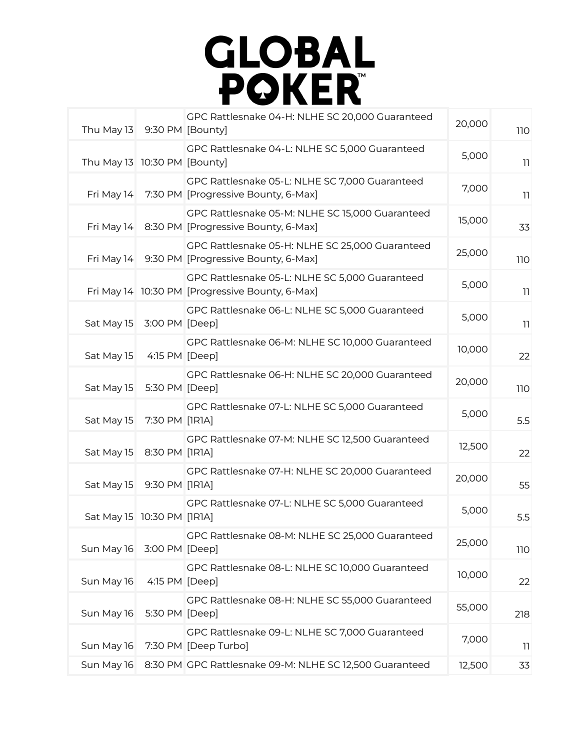

| Thu May 13 9:30 PM [Bounty]  |                | GPC Rattlesnake 04-H: NLHE SC 20,000 Guaranteed                                                   | 20,000 | <b>110</b> |
|------------------------------|----------------|---------------------------------------------------------------------------------------------------|--------|------------|
| Thu May 13 10:30 PM [Bounty] |                | GPC Rattlesnake 04-L: NLHE SC 5,000 Guaranteed                                                    | 5,000  | 11         |
| Fri May 14                   |                | GPC Rattlesnake 05-L: NLHE SC 7,000 Guaranteed<br>7:30 PM [Progressive Bounty, 6-Max]             | 7,000  | 11         |
|                              |                | GPC Rattlesnake 05-M: NLHE SC 15,000 Guaranteed<br>Fri May 14 8:30 PM [Progressive Bounty, 6-Max] | 15,000 | 33         |
|                              |                | GPC Rattlesnake 05-H: NLHE SC 25,000 Guaranteed<br>Fri May 14 9:30 PM [Progressive Bounty, 6-Max] | 25,000 | 110        |
|                              |                | GPC Rattlesnake 05-L: NLHE SC 5,000 Guaranteed<br>Fri May 14 10:30 PM [Progressive Bounty, 6-Max] | 5,000  | 11         |
| Sat May 15                   | 3:00 PM [Deep] | GPC Rattlesnake 06-L: NLHE SC 5,000 Guaranteed                                                    | 5,000  | 11         |
| Sat May 15                   | 4:15 PM [Deep] | GPC Rattlesnake 06-M: NLHE SC 10,000 Guaranteed                                                   | 10,000 | 22         |
| Sat May 15                   | 5:30 PM [Deep] | GPC Rattlesnake 06-H: NLHE SC 20,000 Guaranteed                                                   | 20,000 | <b>110</b> |
| Sat May 15                   | 7:30 PM [IRIA] | GPC Rattlesnake 07-L: NLHE SC 5,000 Guaranteed                                                    | 5,000  | 5.5        |
| Sat May 15                   | 8:30 PM [IRIA] | GPC Rattlesnake 07-M: NLHE SC 12,500 Guaranteed                                                   | 12,500 | 22         |
| Sat May 15                   | 9:30 PM [IRIA] | GPC Rattlesnake 07-H: NLHE SC 20,000 Guaranteed                                                   | 20,000 | 55         |
| Sat May 15 10:30 PM [1R1A]   |                | GPC Rattlesnake 07-L: NLHE SC 5,000 Guaranteed                                                    | 5,000  | 5.5        |
| Sun May 16                   | 3:00 PM [Deep] | GPC Rattlesnake 08-M: NLHE SC 25,000 Guaranteed                                                   | 25,000 | <b>110</b> |
| Sun May 16                   | 4:15 PM [Deep] | GPC Rattlesnake 08-L: NLHE SC 10,000 Guaranteed                                                   | 10,000 | 22         |
| Sun May 16                   | 5:30 PM [Deep] | GPC Rattlesnake 08-H: NLHE SC 55,000 Guaranteed                                                   | 55,000 | 218        |
| Sun May 16                   |                | GPC Rattlesnake 09-L: NLHE SC 7,000 Guaranteed<br>7:30 PM [Deep Turbo]                            | 7,000  | 11         |
| Sun May 16                   |                | 8:30 PM GPC Rattlesnake 09-M: NLHE SC 12,500 Guaranteed                                           | 12,500 | 33         |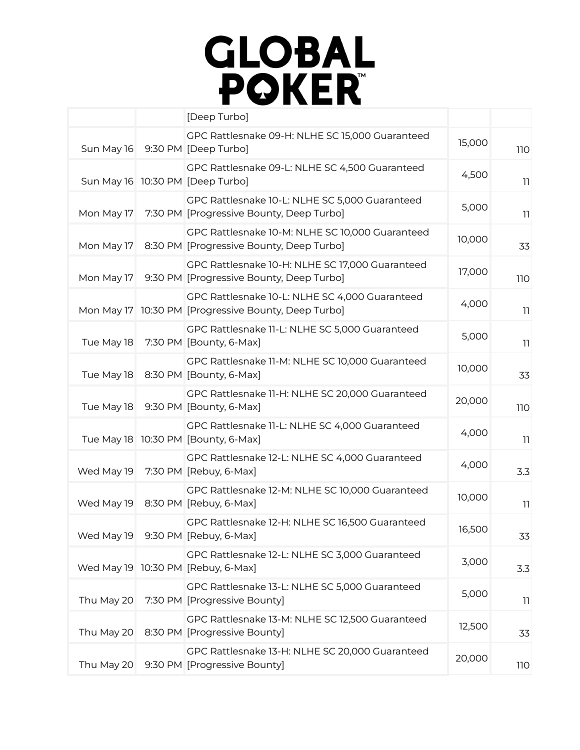## **GLOBAL<br>POKER**

|            | [Deep Turbo]                                                                                           |        |            |
|------------|--------------------------------------------------------------------------------------------------------|--------|------------|
| Sun May 16 | GPC Rattlesnake 09-H: NLHE SC 15,000 Guaranteed<br>9:30 PM [Deep Turbo]                                | 15,000 | <b>110</b> |
|            | GPC Rattlesnake 09-L: NLHE SC 4,500 Guaranteed<br>Sun May 16 10:30 PM [Deep Turbo]                     | 4,500  | 11         |
| Mon May 17 | GPC Rattlesnake 10-L: NLHE SC 5,000 Guaranteed<br>7:30 PM [Progressive Bounty, Deep Turbo]             | 5,000  | 11         |
| Mon May 17 | GPC Rattlesnake 10-M: NLHE SC 10,000 Guaranteed<br>8:30 PM [Progressive Bounty, Deep Turbo]            | 10,000 | 33         |
| Mon May 17 | GPC Rattlesnake 10-H: NLHE SC 17,000 Guaranteed<br>9:30 PM [Progressive Bounty, Deep Turbo]            | 17,000 | 110        |
|            | GPC Rattlesnake 10-L: NLHE SC 4,000 Guaranteed<br>Mon May 17 10:30 PM [Progressive Bounty, Deep Turbo] | 4,000  | 11         |
| Tue May 18 | GPC Rattlesnake 11-L: NLHE SC 5,000 Guaranteed<br>7:30 PM [Bounty, 6-Max]                              | 5,000  | 11         |
| Tue May 18 | GPC Rattlesnake 11-M: NLHE SC 10,000 Guaranteed<br>8:30 PM [Bounty, 6-Max]                             | 10,000 | 33         |
| Tue May 18 | GPC Rattlesnake 11-H: NLHE SC 20,000 Guaranteed<br>9:30 PM [Bounty, 6-Max]                             | 20,000 | 110        |
|            | GPC Rattlesnake 11-L: NLHE SC 4,000 Guaranteed<br>Tue May 18 10:30 PM [Bounty, 6-Max]                  | 4,000  | 11         |
| Wed May 19 | GPC Rattlesnake 12-L: NLHE SC 4,000 Guaranteed<br>7:30 PM [Rebuy, 6-Max]                               | 4,000  | 3.3        |
| Wed May 19 | GPC Rattlesnake 12-M: NLHE SC 10,000 Guaranteed<br>8:30 PM [Rebuy, 6-Max]                              | 10,000 | 11         |
|            | GPC Rattlesnake 12-H: NLHE SC 16,500 Guaranteed<br>Wed May 19 9:30 PM [Rebuy, 6-Max]                   | 16,500 | 33         |
|            | GPC Rattlesnake 12-L: NLHE SC 3,000 Guaranteed<br>Wed May 19 10:30 PM [Rebuy, 6-Max]                   | 3,000  | 3.3        |
| Thu May 20 | GPC Rattlesnake 13-L: NLHE SC 5,000 Guaranteed<br>7:30 PM [Progressive Bounty]                         | 5,000  | 11         |
| Thu May 20 | GPC Rattlesnake 13-M: NLHE SC 12,500 Guaranteed<br>8:30 PM [Progressive Bounty]                        | 12,500 | 33         |
| Thu May 20 | GPC Rattlesnake 13-H: NLHE SC 20,000 Guaranteed<br>9:30 PM [Progressive Bounty]                        | 20,000 | 110        |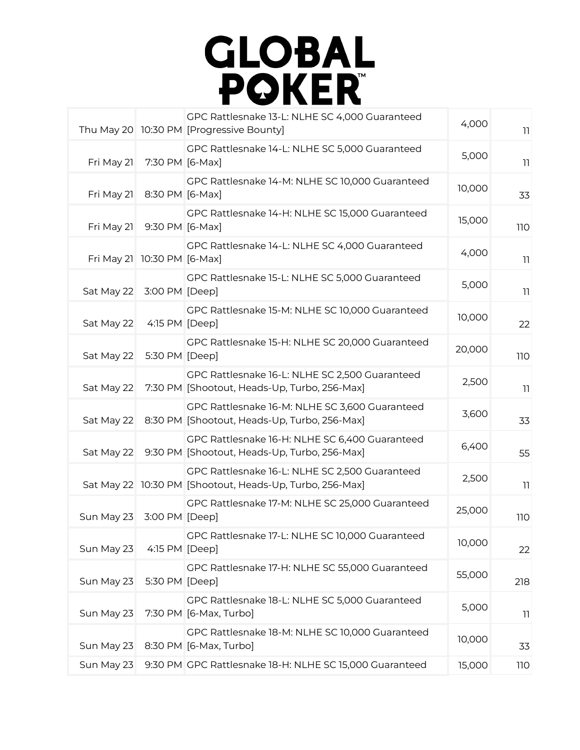

|                             |                 | GPC Rattlesnake 13-L: NLHE SC 4,000 Guaranteed<br>Thu May 20 10:30 PM [Progressive Bounty]                 | 4,000  | 11         |
|-----------------------------|-----------------|------------------------------------------------------------------------------------------------------------|--------|------------|
| Fri May 21                  | 7:30 PM [6-Max] | GPC Rattlesnake 14-L: NLHE SC 5,000 Guaranteed                                                             | 5,000  | 11         |
| Fri May 21                  | 8:30 PM [6-Max] | GPC Rattlesnake 14-M: NLHE SC 10,000 Guaranteed                                                            | 10,000 | 33         |
| Fri May 21                  | 9:30 PM [6-Max] | GPC Rattlesnake 14-H: NLHE SC 15,000 Guaranteed                                                            | 15,000 | 110        |
| Fri May 21 10:30 PM [6-Max] |                 | GPC Rattlesnake 14-L: NLHE SC 4,000 Guaranteed                                                             | 4,000  | 11         |
| Sat May 22 3:00 PM [Deep]   |                 | GPC Rattlesnake 15-L: NLHE SC 5,000 Guaranteed                                                             | 5,000  | 11         |
| Sat May 22                  | 4:15 PM [Deep]  | GPC Rattlesnake 15-M: NLHE SC 10,000 Guaranteed                                                            | 10,000 | 22         |
| Sat May 22                  | 5:30 PM [Deep]  | GPC Rattlesnake 15-H: NLHE SC 20,000 Guaranteed                                                            | 20,000 | 110        |
| Sat May 22                  |                 | GPC Rattlesnake 16-L: NLHE SC 2,500 Guaranteed<br>7:30 PM [Shootout, Heads-Up, Turbo, 256-Max]             | 2,500  | 11         |
| Sat May 22                  |                 | GPC Rattlesnake 16-M: NLHE SC 3,600 Guaranteed<br>8:30 PM [Shootout, Heads-Up, Turbo, 256-Max]             | 3,600  | 33         |
| Sat May 22                  |                 | GPC Rattlesnake 16-H: NLHE SC 6,400 Guaranteed<br>9:30 PM [Shootout, Heads-Up, Turbo, 256-Max]             | 6,400  | 55         |
|                             |                 | GPC Rattlesnake 16-L: NLHE SC 2,500 Guaranteed<br>Sat May 22 10:30 PM [Shootout, Heads-Up, Turbo, 256-Max] | 2,500  | 11         |
| Sun May 23                  | 3:00 PM [Deep]  | GPC Rattlesnake 17-M: NLHE SC 25,000 Guaranteed                                                            | 25,000 | <b>110</b> |
| Sun May 23                  | 4:15 PM [Deep]  | GPC Rattlesnake 17-L: NLHE SC 10,000 Guaranteed                                                            | 10,000 | 22         |
| Sun May 23                  | 5:30 PM [Deep]  | GPC Rattlesnake 17-H: NLHE SC 55,000 Guaranteed                                                            | 55,000 | 218        |
| Sun May 23                  |                 | GPC Rattlesnake 18-L: NLHE SC 5,000 Guaranteed<br>7:30 PM [6-Max, Turbo]                                   | 5,000  | 11         |
| Sun May 23                  |                 | GPC Rattlesnake 18-M: NLHE SC 10,000 Guaranteed<br>8:30 PM [6-Max, Turbo]                                  | 10,000 | 33         |
| Sun May 23                  |                 | 9:30 PM GPC Rattlesnake 18-H: NLHE SC 15,000 Guaranteed                                                    | 15,000 | 110        |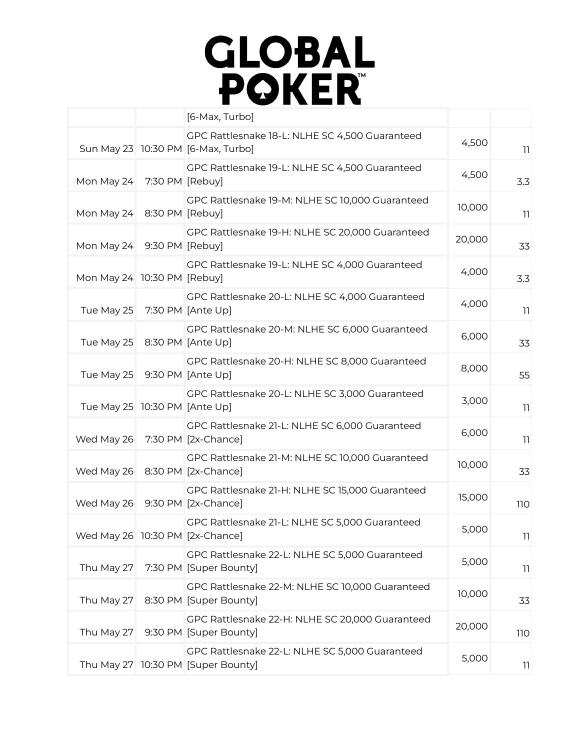## **GLOBAL<br>POKER**

| GPC Rattlesnake 18-L: NLHE SC 4,500 Guaranteed<br>4,500<br>Sun May 23 10:30 PM [6-Max, Turbo]<br>GPC Rattlesnake 19-L: NLHE SC 4,500 Guaranteed<br>4,500<br>Mon May 24<br>7:30 PM [Rebuy]<br>GPC Rattlesnake 19-M: NLHE SC 10,000 Guaranteed<br>10,000<br>Mon May 24 8:30 PM [Rebuy]<br>GPC Rattlesnake 19-H: NLHE SC 20,000 Guaranteed<br>20,000<br>Mon May 24 9:30 PM [Rebuy]<br>GPC Rattlesnake 19-L: NLHE SC 4,000 Guaranteed<br>4,000<br>Mon May 24 10:30 PM [Rebuy]<br>GPC Rattlesnake 20-L: NLHE SC 4,000 Guaranteed<br>4,000<br>Tue May 25<br>7:30 PM [Ante Up]<br>GPC Rattlesnake 20-M: NLHE SC 6,000 Guaranteed<br>6,000<br>Tue May 25<br>8:30 PM [Ante Up]<br>GPC Rattlesnake 20-H: NLHE SC 8,000 Guaranteed<br>8,000<br>Tue May 25<br>9:30 PM [Ante Up]<br>GPC Rattlesnake 20-L: NLHE SC 3,000 Guaranteed<br>3,000<br>Tue May 25 10:30 PM [Ante Up]<br>GPC Rattlesnake 21-L: NLHE SC 6,000 Guaranteed<br>6,000<br>7:30 PM [2x-Chance]<br>Wed May 26<br>GPC Rattlesnake 21-M: NLHE SC 10,000 Guaranteed<br>10,000<br>Wed May 26<br>8:30 PM [2x-Chance]<br>GPC Rattlesnake 21-H: NLHE SC 15,000 Guaranteed<br>15,000<br>Wed May 26<br>9:30 PM [2x-Chance]<br>GPC Rattlesnake 21-L: NLHE SC 5,000 Guaranteed |  | [6-Max, Turbo] |       |            |
|-----------------------------------------------------------------------------------------------------------------------------------------------------------------------------------------------------------------------------------------------------------------------------------------------------------------------------------------------------------------------------------------------------------------------------------------------------------------------------------------------------------------------------------------------------------------------------------------------------------------------------------------------------------------------------------------------------------------------------------------------------------------------------------------------------------------------------------------------------------------------------------------------------------------------------------------------------------------------------------------------------------------------------------------------------------------------------------------------------------------------------------------------------------------------------------------------------------------------|--|----------------|-------|------------|
|                                                                                                                                                                                                                                                                                                                                                                                                                                                                                                                                                                                                                                                                                                                                                                                                                                                                                                                                                                                                                                                                                                                                                                                                                       |  |                |       | 11         |
|                                                                                                                                                                                                                                                                                                                                                                                                                                                                                                                                                                                                                                                                                                                                                                                                                                                                                                                                                                                                                                                                                                                                                                                                                       |  |                |       | 3.3        |
|                                                                                                                                                                                                                                                                                                                                                                                                                                                                                                                                                                                                                                                                                                                                                                                                                                                                                                                                                                                                                                                                                                                                                                                                                       |  |                |       | 11         |
|                                                                                                                                                                                                                                                                                                                                                                                                                                                                                                                                                                                                                                                                                                                                                                                                                                                                                                                                                                                                                                                                                                                                                                                                                       |  |                |       | 33         |
|                                                                                                                                                                                                                                                                                                                                                                                                                                                                                                                                                                                                                                                                                                                                                                                                                                                                                                                                                                                                                                                                                                                                                                                                                       |  |                |       | 3.3        |
|                                                                                                                                                                                                                                                                                                                                                                                                                                                                                                                                                                                                                                                                                                                                                                                                                                                                                                                                                                                                                                                                                                                                                                                                                       |  |                |       | 11         |
|                                                                                                                                                                                                                                                                                                                                                                                                                                                                                                                                                                                                                                                                                                                                                                                                                                                                                                                                                                                                                                                                                                                                                                                                                       |  |                |       | 33         |
|                                                                                                                                                                                                                                                                                                                                                                                                                                                                                                                                                                                                                                                                                                                                                                                                                                                                                                                                                                                                                                                                                                                                                                                                                       |  |                |       | 55         |
|                                                                                                                                                                                                                                                                                                                                                                                                                                                                                                                                                                                                                                                                                                                                                                                                                                                                                                                                                                                                                                                                                                                                                                                                                       |  |                |       | 11         |
|                                                                                                                                                                                                                                                                                                                                                                                                                                                                                                                                                                                                                                                                                                                                                                                                                                                                                                                                                                                                                                                                                                                                                                                                                       |  |                |       | 11         |
|                                                                                                                                                                                                                                                                                                                                                                                                                                                                                                                                                                                                                                                                                                                                                                                                                                                                                                                                                                                                                                                                                                                                                                                                                       |  |                |       | 33         |
|                                                                                                                                                                                                                                                                                                                                                                                                                                                                                                                                                                                                                                                                                                                                                                                                                                                                                                                                                                                                                                                                                                                                                                                                                       |  |                |       | 110        |
| Wed May 26 10:30 PM [2x-Chance]                                                                                                                                                                                                                                                                                                                                                                                                                                                                                                                                                                                                                                                                                                                                                                                                                                                                                                                                                                                                                                                                                                                                                                                       |  |                | 5,000 | 11         |
| GPC Rattlesnake 22-L: NLHE SC 5,000 Guaranteed<br>5,000<br>Thu May 27<br>7:30 PM [Super Bounty]                                                                                                                                                                                                                                                                                                                                                                                                                                                                                                                                                                                                                                                                                                                                                                                                                                                                                                                                                                                                                                                                                                                       |  |                |       | 11         |
| GPC Rattlesnake 22-M: NLHE SC 10,000 Guaranteed<br>10,000<br>Thu May 27<br>8:30 PM [Super Bounty]                                                                                                                                                                                                                                                                                                                                                                                                                                                                                                                                                                                                                                                                                                                                                                                                                                                                                                                                                                                                                                                                                                                     |  |                |       | 33         |
| GPC Rattlesnake 22-H: NLHE SC 20,000 Guaranteed<br>20,000<br>Thu May 27<br>9:30 PM [Super Bounty]                                                                                                                                                                                                                                                                                                                                                                                                                                                                                                                                                                                                                                                                                                                                                                                                                                                                                                                                                                                                                                                                                                                     |  |                |       | <b>110</b> |
| GPC Rattlesnake 22-L: NLHE SC 5,000 Guaranteed<br>5,000<br>Thu May 27 10:30 PM [Super Bounty]                                                                                                                                                                                                                                                                                                                                                                                                                                                                                                                                                                                                                                                                                                                                                                                                                                                                                                                                                                                                                                                                                                                         |  |                |       | 11         |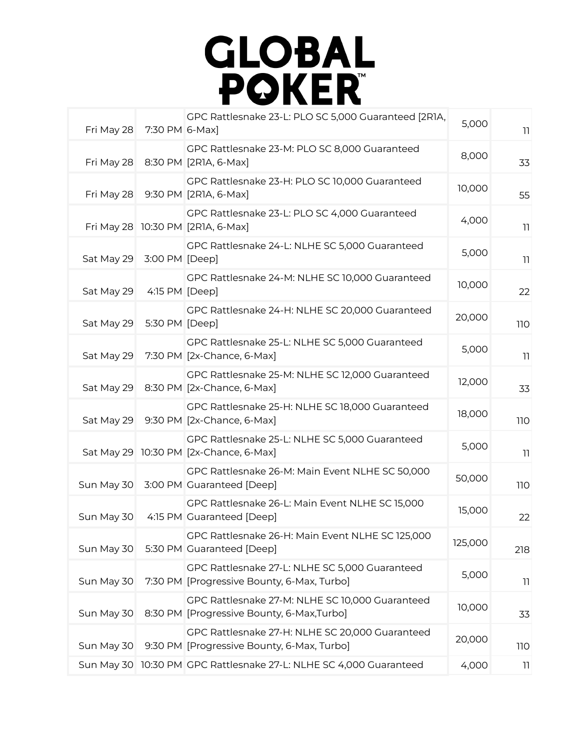

| Fri May 28<br>7:30 PM 6-Max]           | GPC Rattlesnake 23-L: PLO SC 5,000 Guaranteed [2R1A,                                          | 5,000   | 11         |
|----------------------------------------|-----------------------------------------------------------------------------------------------|---------|------------|
| Fri May 28                             | GPC Rattlesnake 23-M: PLO SC 8,000 Guaranteed<br>8:30 PM [2R1A, 6-Max]                        | 8,000   | 33         |
| Fri May 28                             | GPC Rattlesnake 23-H: PLO SC 10,000 Guaranteed<br>9:30 PM [2R1A, 6-Max]                       | 10,000  | 55         |
| Fri May 28 10:30 PM [2R1A, 6-Max]      | GPC Rattlesnake 23-L: PLO SC 4,000 Guaranteed                                                 | 4,000   | 11         |
| Sat May 29<br>3:00 PM [Deep]           | GPC Rattlesnake 24-L: NLHE SC 5,000 Guaranteed                                                | 5,000   | 11         |
| Sat May 29<br>4:15 PM [Deep]           | GPC Rattlesnake 24-M: NLHE SC 10,000 Guaranteed                                               | 10,000  | 22         |
| Sat May 29<br>5:30 PM [Deep]           | GPC Rattlesnake 24-H: NLHE SC 20,000 Guaranteed                                               | 20,000  | <b>110</b> |
| Sat May 29                             | GPC Rattlesnake 25-L: NLHE SC 5,000 Guaranteed<br>7:30 PM [2x-Chance, 6-Max]                  | 5,000   | 11         |
| Sat May 29                             | GPC Rattlesnake 25-M: NLHE SC 12,000 Guaranteed<br>8:30 PM [2x-Chance, 6-Max]                 | 12,000  | 33         |
| Sat May 29                             | GPC Rattlesnake 25-H: NLHE SC 18,000 Guaranteed<br>9:30 PM [2x-Chance, 6-Max]                 | 18,000  | <b>110</b> |
| Sat May 29 10:30 PM [2x-Chance, 6-Max] | GPC Rattlesnake 25-L: NLHE SC 5,000 Guaranteed                                                | 5,000   | 11         |
| Sun May 30                             | GPC Rattlesnake 26-M: Main Event NLHE SC 50,000<br>3:00 PM Guaranteed [Deep]                  | 50,000  | <b>110</b> |
| Sun May 30                             | GPC Rattlesnake 26-L: Main Event NLHE SC 15,000<br>4:15 PM Guaranteed [Deep]                  | 15,000  | 22         |
| Sun May 30                             | GPC Rattlesnake 26-H: Main Event NLHE SC 125,000<br>5:30 PM Guaranteed [Deep]                 | 125,000 | 218        |
| Sun May 30                             | GPC Rattlesnake 27-L: NLHE SC 5,000 Guaranteed<br>7:30 PM [Progressive Bounty, 6-Max, Turbo]  | 5,000   | 11         |
| Sun May 30                             | GPC Rattlesnake 27-M: NLHE SC 10,000 Guaranteed<br>8:30 PM [Progressive Bounty, 6-Max, Turbo] | 10,000  | 33         |
| Sun May 30                             | GPC Rattlesnake 27-H: NLHE SC 20,000 Guaranteed<br>9:30 PM [Progressive Bounty, 6-Max, Turbo] | 20,000  | 110        |
|                                        | Sun May 30 10:30 PM GPC Rattlesnake 27-L: NLHE SC 4,000 Guaranteed                            | 4,000   | 11         |